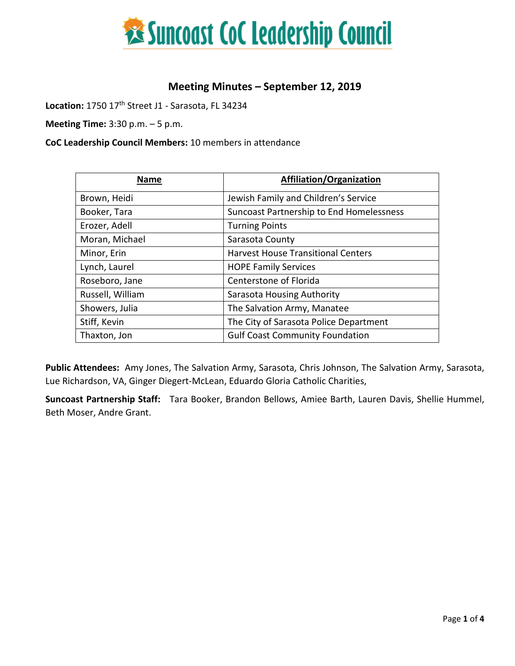

## **Meeting Minutes – September 12, 2019**

Location: 1750 17<sup>th</sup> Street J1 - Sarasota, FL 34234

**Meeting Time:** 3:30 p.m. – 5 p.m.

**CoC Leadership Council Members:** 10 members in attendance

| <b>Name</b>      | <b>Affiliation/Organization</b>           |
|------------------|-------------------------------------------|
| Brown, Heidi     | Jewish Family and Children's Service      |
| Booker, Tara     | Suncoast Partnership to End Homelessness  |
| Erozer, Adell    | <b>Turning Points</b>                     |
| Moran, Michael   | Sarasota County                           |
| Minor, Erin      | <b>Harvest House Transitional Centers</b> |
| Lynch, Laurel    | <b>HOPE Family Services</b>               |
| Roseboro, Jane   | Centerstone of Florida                    |
| Russell, William | Sarasota Housing Authority                |
| Showers, Julia   | The Salvation Army, Manatee               |
| Stiff, Kevin     | The City of Sarasota Police Department    |
| Thaxton, Jon     | <b>Gulf Coast Community Foundation</b>    |

**Public Attendees:** Amy Jones, The Salvation Army, Sarasota, Chris Johnson, The Salvation Army, Sarasota, Lue Richardson, VA, Ginger Diegert-McLean, Eduardo Gloria Catholic Charities,

**Suncoast Partnership Staff:** Tara Booker, Brandon Bellows, Amiee Barth, Lauren Davis, Shellie Hummel, Beth Moser, Andre Grant.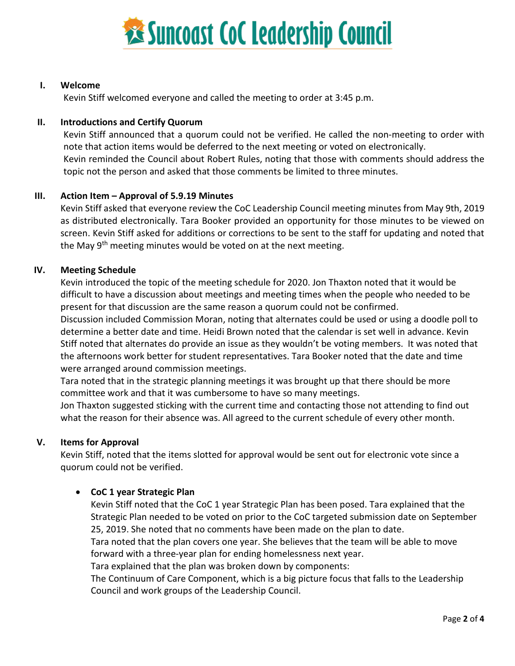

#### **I. Welcome**

Kevin Stiff welcomed everyone and called the meeting to order at 3:45 p.m.

#### **II. Introductions and Certify Quorum**

Kevin Stiff announced that a quorum could not be verified. He called the non-meeting to order with note that action items would be deferred to the next meeting or voted on electronically. Kevin reminded the Council about Robert Rules, noting that those with comments should address the topic not the person and asked that those comments be limited to three minutes.

#### **III. Action Item – Approval of 5.9.19 Minutes**

Kevin Stiff asked that everyone review the CoC Leadership Council meeting minutes from May 9th, 2019 as distributed electronically. Tara Booker provided an opportunity for those minutes to be viewed on screen. Kevin Stiff asked for additions or corrections to be sent to the staff for updating and noted that the May 9<sup>th</sup> meeting minutes would be voted on at the next meeting.

#### **IV. Meeting Schedule**

Kevin introduced the topic of the meeting schedule for 2020. Jon Thaxton noted that it would be difficult to have a discussion about meetings and meeting times when the people who needed to be present for that discussion are the same reason a quorum could not be confirmed.

Discussion included Commission Moran, noting that alternates could be used or using a doodle poll to determine a better date and time. Heidi Brown noted that the calendar is set well in advance. Kevin Stiff noted that alternates do provide an issue as they wouldn't be voting members. It was noted that the afternoons work better for student representatives. Tara Booker noted that the date and time were arranged around commission meetings.

Tara noted that in the strategic planning meetings it was brought up that there should be more committee work and that it was cumbersome to have so many meetings.

Jon Thaxton suggested sticking with the current time and contacting those not attending to find out what the reason for their absence was. All agreed to the current schedule of every other month.

#### **V. Items for Approval**

Kevin Stiff, noted that the items slotted for approval would be sent out for electronic vote since a quorum could not be verified.

#### • **CoC 1 year Strategic Plan**

Kevin Stiff noted that the CoC 1 year Strategic Plan has been posed. Tara explained that the Strategic Plan needed to be voted on prior to the CoC targeted submission date on September 25, 2019. She noted that no comments have been made on the plan to date.

Tara noted that the plan covers one year. She believes that the team will be able to move forward with a three-year plan for ending homelessness next year.

Tara explained that the plan was broken down by components:

The Continuum of Care Component, which is a big picture focus that falls to the Leadership Council and work groups of the Leadership Council.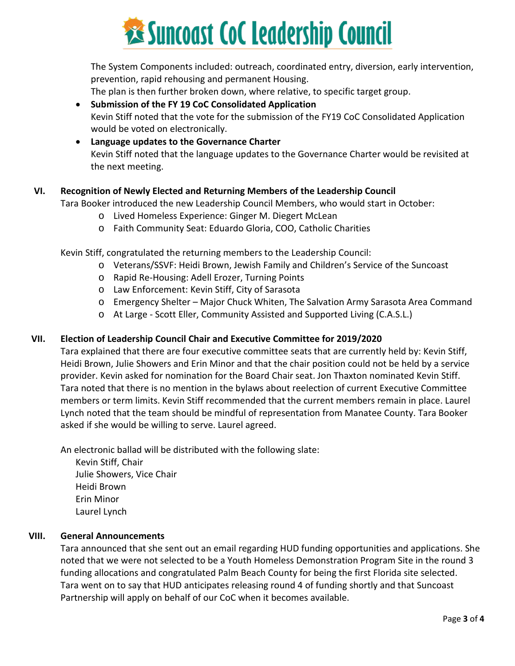

The System Components included: outreach, coordinated entry, diversion, early intervention, prevention, rapid rehousing and permanent Housing.

The plan is then further broken down, where relative, to specific target group.

• **Submission of the FY 19 CoC Consolidated Application**  Kevin Stiff noted that the vote for the submission of the FY19 CoC Consolidated Application would be voted on electronically.

• **Language updates to the Governance Charter** Kevin Stiff noted that the language updates to the Governance Charter would be revisited at the next meeting.

### **VI. Recognition of Newly Elected and Returning Members of the Leadership Council**

Tara Booker introduced the new Leadership Council Members, who would start in October:

- o Lived Homeless Experience: Ginger M. Diegert McLean
- o Faith Community Seat: Eduardo Gloria, COO, Catholic Charities

Kevin Stiff, congratulated the returning members to the Leadership Council:

- o Veterans/SSVF: Heidi Brown, Jewish Family and Children's Service of the Suncoast
- o Rapid Re-Housing: Adell Erozer, Turning Points
- o Law Enforcement: Kevin Stiff, City of Sarasota
- o Emergency Shelter Major Chuck Whiten, The Salvation Army Sarasota Area Command
- o At Large Scott Eller, Community Assisted and Supported Living (C.A.S.L.)

#### **VII. Election of Leadership Council Chair and Executive Committee for 2019/2020**

Tara explained that there are four executive committee seats that are currently held by: Kevin Stiff, Heidi Brown, Julie Showers and Erin Minor and that the chair position could not be held by a service provider. Kevin asked for nomination for the Board Chair seat. Jon Thaxton nominated Kevin Stiff. Tara noted that there is no mention in the bylaws about reelection of current Executive Committee members or term limits. Kevin Stiff recommended that the current members remain in place. Laurel Lynch noted that the team should be mindful of representation from Manatee County. Tara Booker asked if she would be willing to serve. Laurel agreed.

An electronic ballad will be distributed with the following slate:

Kevin Stiff, Chair Julie Showers, Vice Chair Heidi Brown Erin Minor Laurel Lynch

#### **VIII. General Announcements**

Tara announced that she sent out an email regarding HUD funding opportunities and applications. She noted that we were not selected to be a Youth Homeless Demonstration Program Site in the round 3 funding allocations and congratulated Palm Beach County for being the first Florida site selected. Tara went on to say that HUD anticipates releasing round 4 of funding shortly and that Suncoast Partnership will apply on behalf of our CoC when it becomes available.